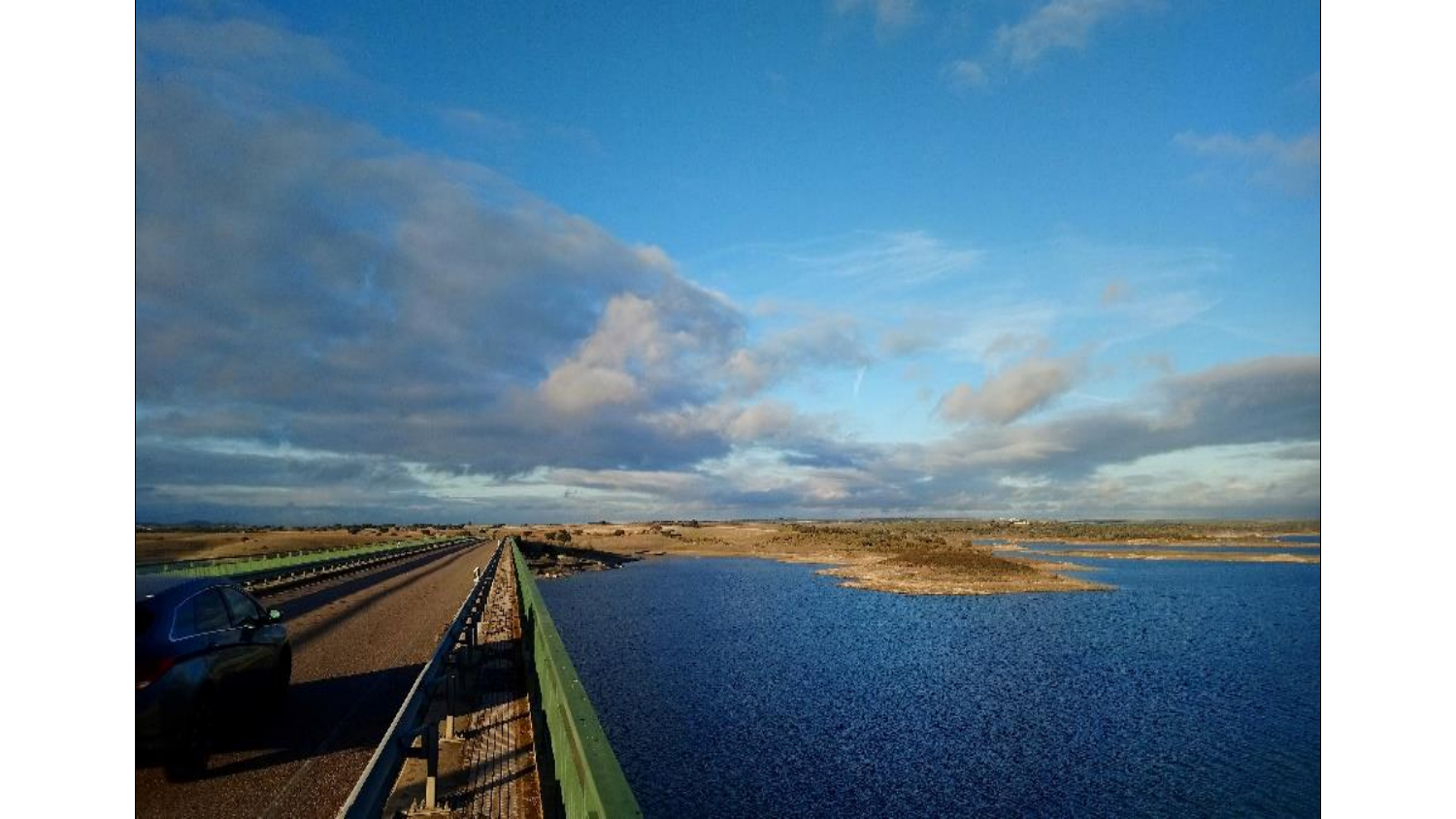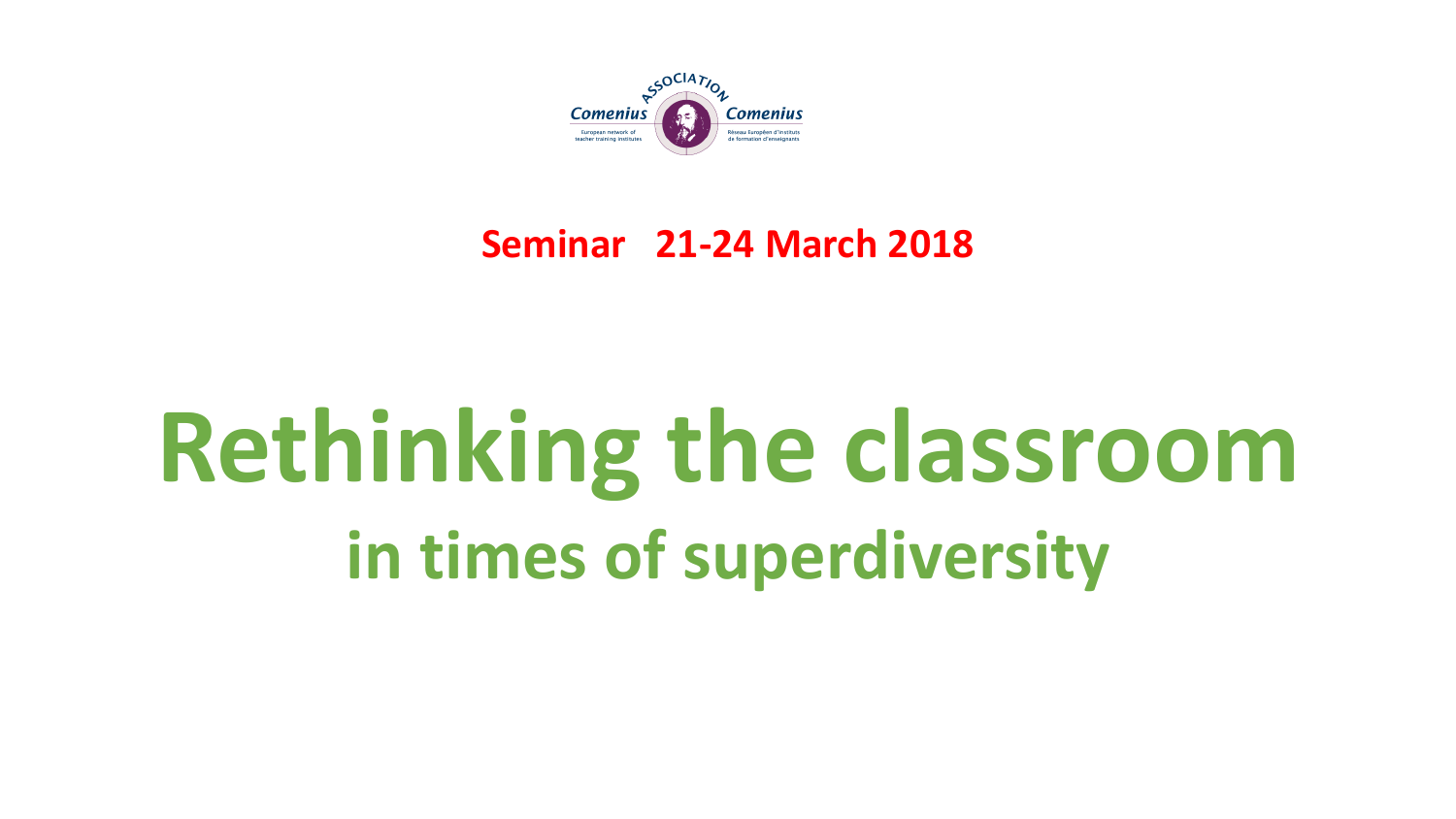

#### **Seminar 21-24 March 2018**

# **Rethinking the classroom in times of superdiversity**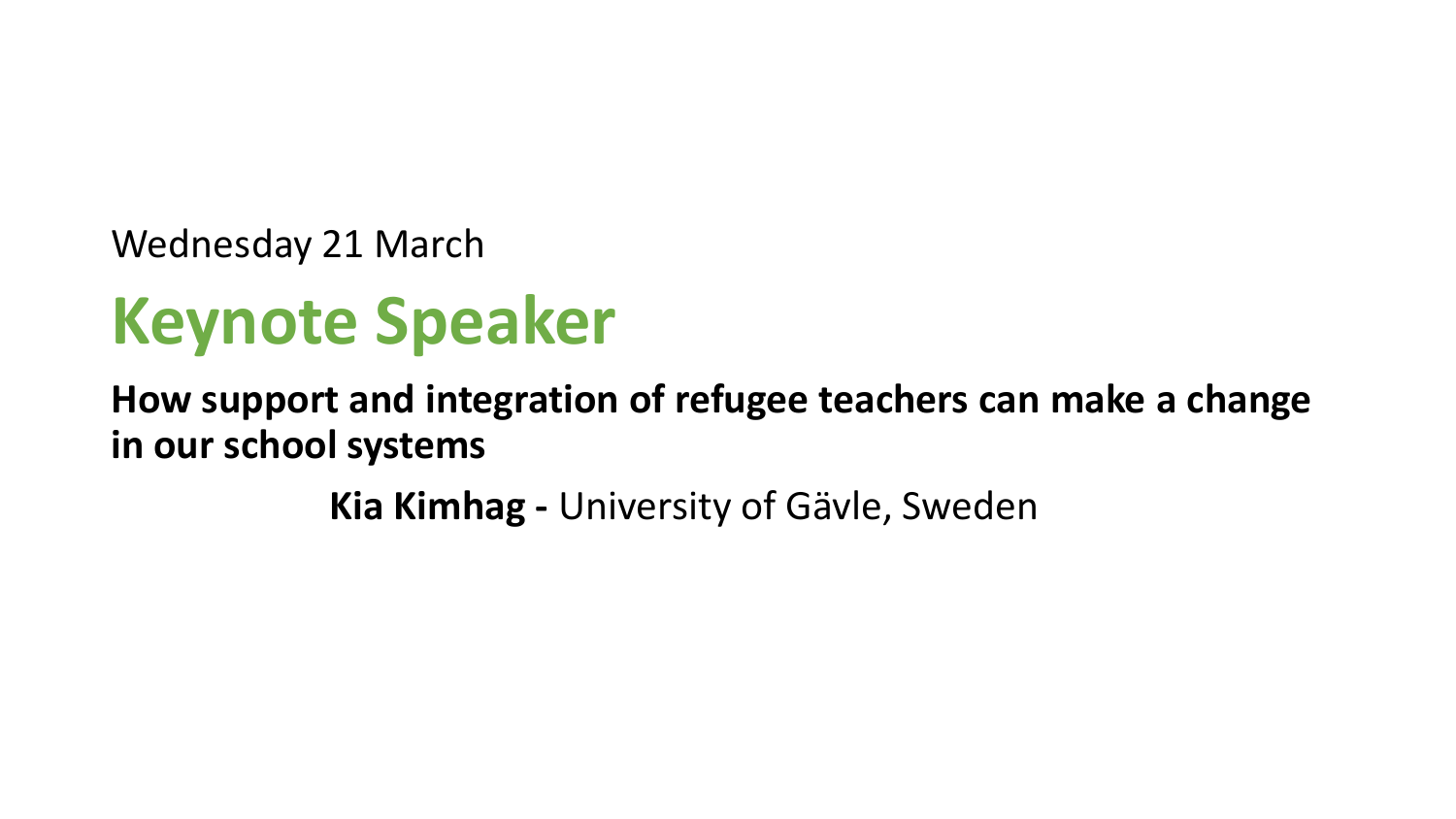Wednesday 21 March

#### **Keynote Speaker**

**How support and integration of refugee teachers can make a change in our school systems**

**Kia Kimhag -** University of Gävle, Sweden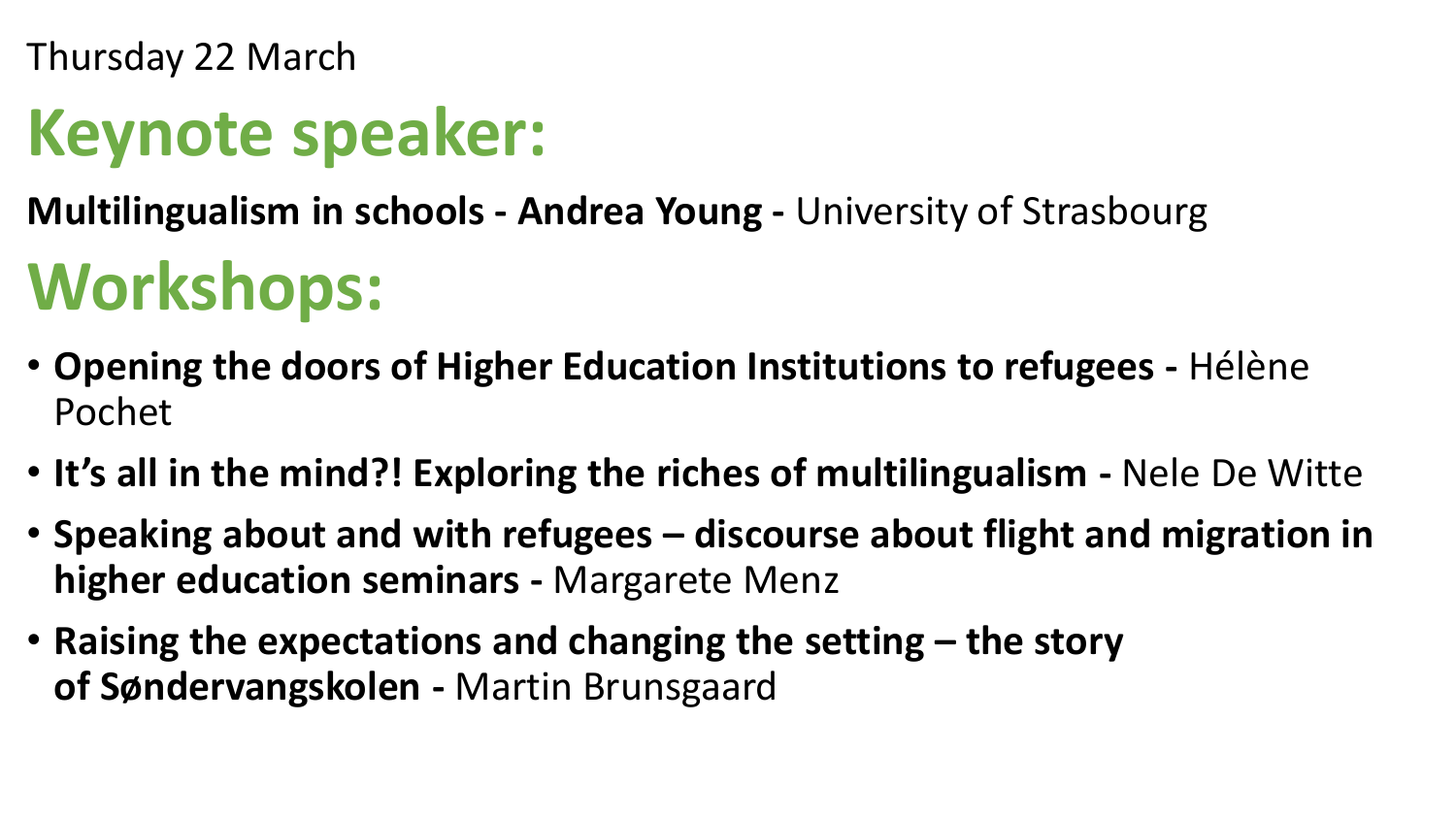Thursday 22 March

#### **Keynote speaker:**

**Multilingualism in schools - Andrea Young -** University of Strasbourg

## **Workshops:**

- **Opening the doors of Higher Education Institutions to refugees -** Hélène Pochet
- **It's all in the mind?! Exploring the riches of multilingualism -** Nele De Witte
- **Speaking about and with refugees – discourse about flight and migration in higher education seminars -** Margarete Menz
- **Raising the expectations and changing the setting – the story of Søndervangskolen -** Martin Brunsgaard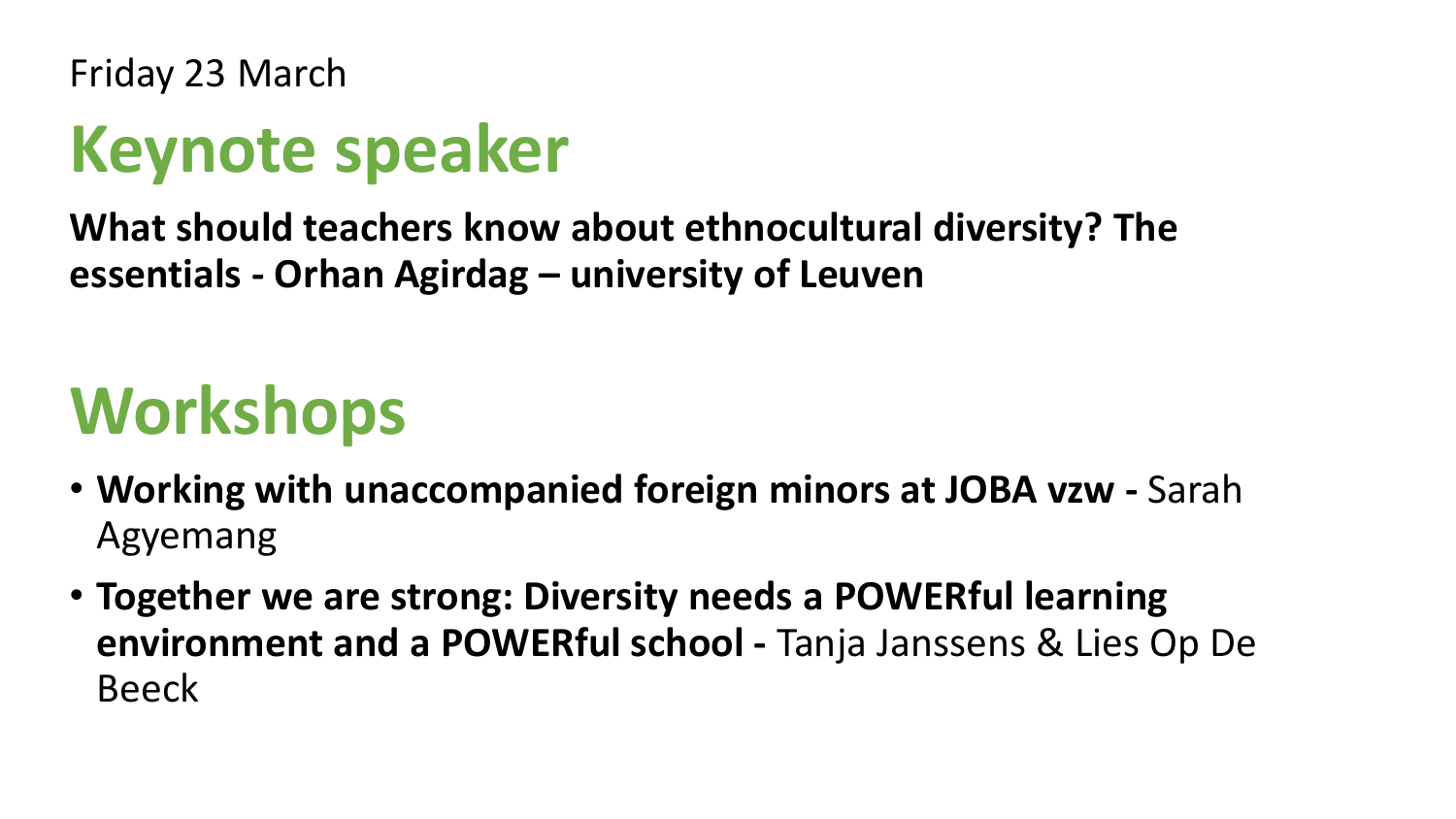Friday 23 March

#### **Keynote speaker**

**What should teachers know about ethnocultural diversity? The essentials - Orhan Agirdag – university of Leuven**

### **Workshops**

- **Working with unaccompanied foreign minors at JOBA vzw -** Sarah Agyemang
- **Together we are strong: Diversity needs a POWERful learning environment and a POWERful school -** Tanja Janssens & Lies Op De Beeck